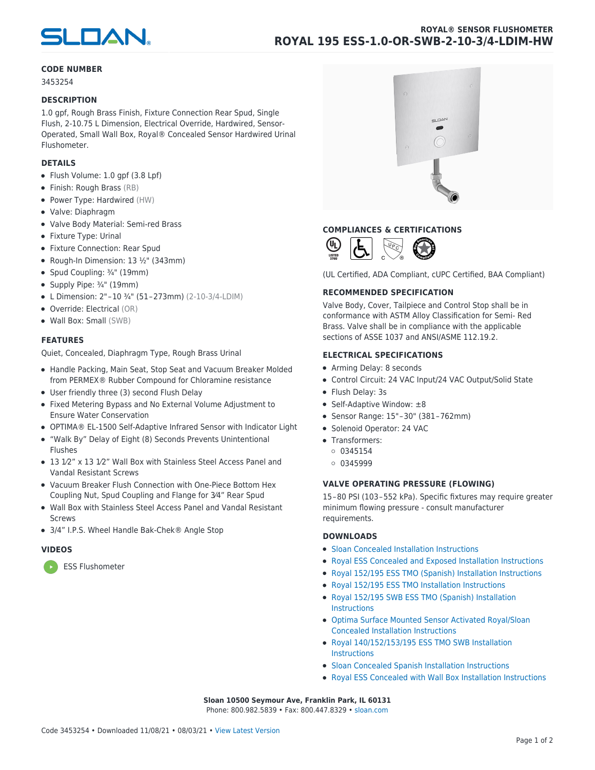

# **CODE NUMBER**

3453254

## **DESCRIPTION**

1.0 gpf, Rough Brass Finish, Fixture Connection Rear Spud, Single Flush, 2-10.75 L Dimension, Electrical Override, Hardwired, Sensor-Operated, Small Wall Box, Royal® Concealed Sensor Hardwired Urinal Flushometer.

## **DETAILS**

- Flush Volume: 1.0 gpf (3.8 Lpf)
- Finish: Rough Brass (RB)
- Power Type: Hardwired (HW)
- Valve: Diaphragm
- Valve Body Material: Semi-red Brass
- Fixture Type: Urinal
- Fixture Connection: Rear Spud
- Rough-In Dimension:  $13 \frac{1}{2}$ " (343mm)
- Spud Coupling: 3/4" (19mm)
- Supply Pipe: 3/4" (19mm)
- L Dimension: 2" – 10 ¾" (51 – 273mm) (2-10-3/4-LDIM)
- Override: Electrical (OR)
- Wall Box: Small (SWB)

### **FEATURES**

Quiet, Concealed, Diaphragm Type, Rough Brass Urinal

- Handle Packing, Main Seat, Stop Seat and Vacuum Breaker Molded from PERMEX® Rubber Compound for Chloramine resistance
- User friendly three (3) second Flush Delay
- Fixed Metering Bypass and No External Volume Adjustment to Ensure Water Conservation
- OPTIMA® EL-1500 Self-Adaptive Infrared Sensor with Indicator Light
- "Walk By" Delay of Eight (8) Seconds Prevents Unintentional Flushes
- 13 1⁄2" x 13 1⁄2" Wall Box with Stainless Steel Access Panel and Vandal Resistant Screws
- Vacuum Breaker Flush Connection with One-Piece Bottom Hex Coupling Nut, Spud Coupling and Flange for 3⁄4" Rear Spud
- Wall Box with Stainless Steel Access Panel and Vandal Resistant Screws
- 3/4" I.P.S. Wheel Handle Bak-Chek® Angle Stop

## **VIDEOS**

[ESS Flushometer](https://vimeo.com/150392956)



# **COMPLIANCES & CERTIFICATIONS**



(UL Certified, ADA Compliant, cUPC Certified, BAA Compliant)

### **RECOMMENDED SPECIFICATION**

Valve Body, Cover, Tailpiece and Control Stop shall be in conformance with ASTM Alloy Classification for Semi- Red Brass. Valve shall be in compliance with the applicable sections of ASSE 1037 and ANSI/ASME 112.19.2.

### **ELECTRICAL SPECIFICATIONS**

- Arming Delay: 8 seconds
- Control Circuit: 24 VAC Input/24 VAC Output/Solid State
- Flush Delay: 3s
- Self-Adaptive Window: ±8
- Sensor Range: 15" – 30" (381 – 762mm)
- Solenoid Operator: 24 VAC
- Transformers:
	- $0345154$
	- 0 0345999

#### **VALVE OPERATING PRESSURE (FLOWING)**

15 – 80 PSI (103 – 552 kPa). Specific fixtures may require greater minimum flowing pressure - consult manufacturer requirements.

#### **DOWNLOADS**

- [Sloan Concealed Installation Instructions](https://www.sloan.com/sites/default/files/2017-03/II0816170Rev4.pdf)
- [Royal ESS Concealed and Exposed Installation Instructions](https://www.sloan.com/sites/default/files/2019-04/0816164Rev8.pdf)
- [Royal 152/195 ESS TMO \(Spanish\) Installation Instructions](https://www.sloan.com/sites/default/files/2016-01/0816428_SP.pdf)
- [Royal 152/195 ESS TMO Installation Instructions](https://www.sloan.com/sites/default/files/2017-09/II0816432Rev11.pdf)
- [Royal 152/195 SWB ESS TMO \(Spanish\) Installation](https://www.sloan.com/sites/default/files/2016-01/0816429_SP.pdf) **[Instructions](https://www.sloan.com/sites/default/files/2016-01/0816429_SP.pdf)**
- [Optima Surface Mounted Sensor Activated Royal/Sloan](https://www.sloan.com/sites/default/files/2020-01/0816835.pdf) [Concealed Installation Instructions](https://www.sloan.com/sites/default/files/2020-01/0816835.pdf)
- [Royal 140/152/153/195 ESS TMO SWB Installation](https://www.sloan.com/sites/default/files/2016-01/0816432.pdf) **[Instructions](https://www.sloan.com/sites/default/files/2016-01/0816432.pdf)**
- [Sloan Concealed Spanish Installation Instructions](https://www.sloan.com/sites/default/files/2016-01/0816170_SP.pdf)
- [Royal ESS Concealed with Wall Box Installation Instructions](https://www.sloan.com/sites/default/files/2017-01/0816168Rev2.pdf)